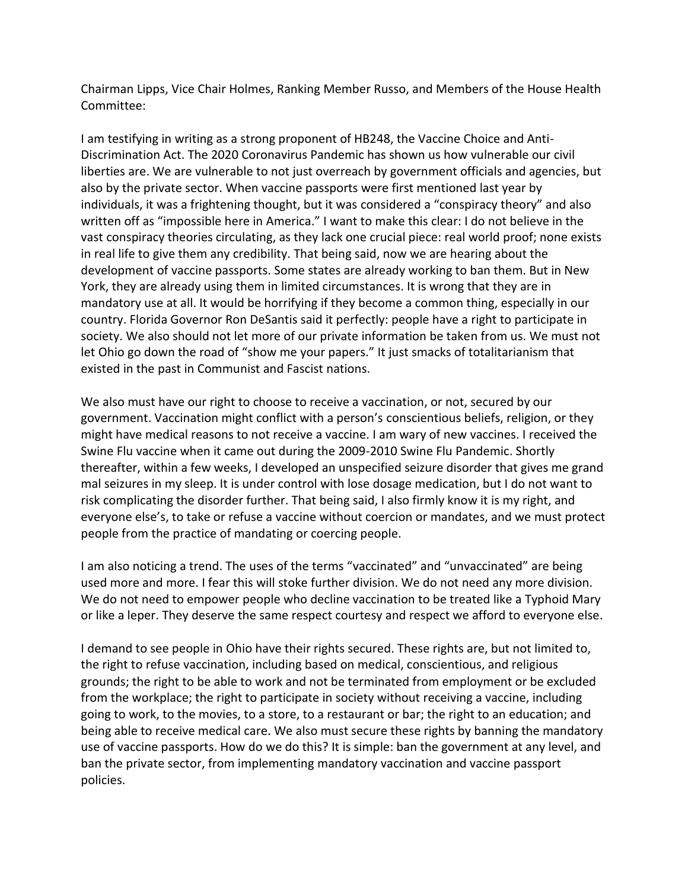Chairman Lipps, Vice Chair Holmes, Ranking Member Russo, and Members of the House Health Committee:

I am testifying in writing as a strong proponent of HB248, the Vaccine Choice and Anti-Discrimination Act. The 2020 Coronavirus Pandemic has shown us how vulnerable our civil liberties are. We are vulnerable to not just overreach by government officials and agencies, but also by the private sector. When vaccine passports were first mentioned last year by individuals, it was a frightening thought, but it was considered a "conspiracy theory" and also written off as "impossible here in America." I want to make this clear: I do not believe in the vast conspiracy theories circulating, as they lack one crucial piece: real world proof; none exists in real life to give them any credibility. That being said, now we are hearing about the development of vaccine passports. Some states are already working to ban them. But in New York, they are already using them in limited circumstances. It is wrong that they are in mandatory use at all. It would be horrifying if they become a common thing, especially in our country. Florida Governor Ron DeSantis said it perfectly: people have a right to participate in society. We also should not let more of our private information be taken from us. We must not let Ohio go down the road of "show me your papers." It just smacks of totalitarianism that existed in the past in Communist and Fascist nations.

We also must have our right to choose to receive a vaccination, or not, secured by our government. Vaccination might conflict with a person's conscientious beliefs, religion, or they might have medical reasons to not receive a vaccine. I am wary of new vaccines. I received the Swine Flu vaccine when it came out during the 2009-2010 Swine Flu Pandemic. Shortly thereafter, within a few weeks, I developed an unspecified seizure disorder that gives me grand mal seizures in my sleep. It is under control with lose dosage medication, but I do not want to risk complicating the disorder further. That being said, I also firmly know it is my right, and everyone else's, to take or refuse a vaccine without coercion or mandates, and we must protect people from the practice of mandating or coercing people.

I am also noticing a trend. The uses of the terms "vaccinated" and "unvaccinated" are being used more and more. I fear this will stoke further division. We do not need any more division. We do not need to empower people who decline vaccination to be treated like a Typhoid Mary or like a leper. They deserve the same respect courtesy and respect we afford to everyone else.

I demand to see people in Ohio have their rights secured. These rights are, but not limited to, the right to refuse vaccination, including based on medical, conscientious, and religious grounds; the right to be able to work and not be terminated from employment or be excluded from the workplace; the right to participate in society without receiving a vaccine, including going to work, to the movies, to a store, to a restaurant or bar; the right to an education; and being able to receive medical care. We also must secure these rights by banning the mandatory use of vaccine passports. How do we do this? It is simple: ban the government at any level, and ban the private sector, from implementing mandatory vaccination and vaccine passport policies.